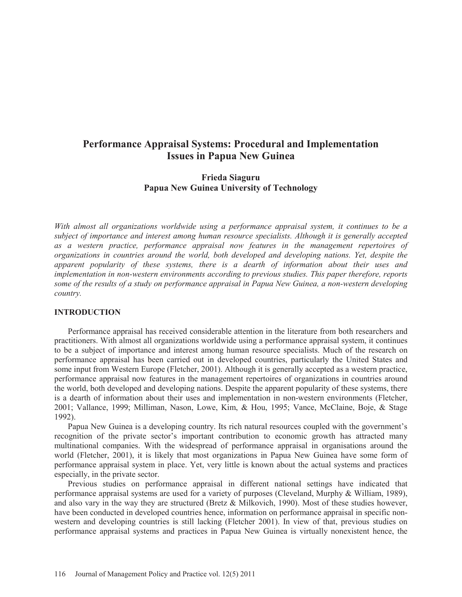# **Performance Appraisal Systems: Procedural and Implementation Issues in Papua New Guinea**

# **Frieda Siaguru Papua New Guinea University of Technology**

*With almost all organizations worldwide using a performance appraisal system, it continues to be a subject of importance and interest among human resource specialists. Although it is generally accepted as a western practice, performance appraisal now features in the management repertoires of organizations in countries around the world, both developed and developing nations. Yet, despite the apparent popularity of these systems, there is a dearth of information about their uses and implementation in non-western environments according to previous studies. This paper therefore, reports some of the results of a study on performance appraisal in Papua New Guinea, a non-western developing country.*

## **INTRODUCTION**

Performance appraisal has received considerable attention in the literature from both researchers and practitioners. With almost all organizations worldwide using a performance appraisal system, it continues to be a subject of importance and interest among human resource specialists. Much of the research on performance appraisal has been carried out in developed countries, particularly the United States and some input from Western Europe (Fletcher, 2001). Although it is generally accepted as a western practice, performance appraisal now features in the management repertoires of organizations in countries around the world, both developed and developing nations. Despite the apparent popularity of these systems, there is a dearth of information about their uses and implementation in non-western environments (Fletcher, 2001; Vallance, 1999; Milliman, Nason, Lowe, Kim, & Hou, 1995; Vance, McClaine, Boje, & Stage 1992).

Papua New Guinea is a developing country. Its rich natural resources coupled with the government's recognition of the private sector's important contribution to economic growth has attracted many multinational companies. With the widespread of performance appraisal in organisations around the world (Fletcher, 2001), it is likely that most organizations in Papua New Guinea have some form of performance appraisal system in place. Yet, very little is known about the actual systems and practices especially, in the private sector.

Previous studies on performance appraisal in different national settings have indicated that performance appraisal systems are used for a variety of purposes (Cleveland, Murphy & William, 1989), and also vary in the way they are structured (Bretz & Milkovich, 1990). Most of these studies however, have been conducted in developed countries hence, information on performance appraisal in specific nonwestern and developing countries is still lacking (Fletcher 2001). In view of that, previous studies on performance appraisal systems and practices in Papua New Guinea is virtually nonexistent hence, the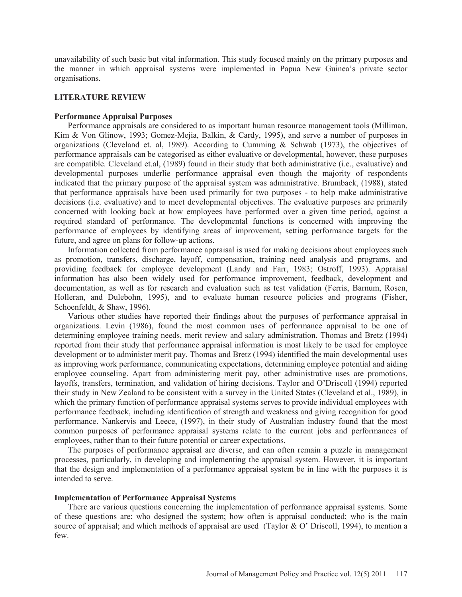unavailability of such basic but vital information. This study focused mainly on the primary purposes and the manner in which appraisal systems were implemented in Papua New Guinea's private sector organisations.

### **LITERATURE REVIEW**

### **Performance Appraisal Purposes**

Performance appraisals are considered to as important human resource management tools (Milliman, Kim & Von Glinow, 1993; Gomez-Mejia, Balkin, & Cardy, 1995), and serve a number of purposes in organizations (Cleveland et. al, 1989). According to Cumming & Schwab (1973), the objectives of performance appraisals can be categorised as either evaluative or developmental, however, these purposes are compatible. Cleveland et.al, (1989) found in their study that both administrative (i.e., evaluative) and developmental purposes underlie performance appraisal even though the majority of respondents indicated that the primary purpose of the appraisal system was administrative. Brumback, (1988), stated that performance appraisals have been used primarily for two purposes - to help make administrative decisions (i.e. evaluative) and to meet developmental objectives. The evaluative purposes are primarily concerned with looking back at how employees have performed over a given time period, against a required standard of performance. The developmental functions is concerned with improving the performance of employees by identifying areas of improvement, setting performance targets for the future, and agree on plans for follow-up actions.

Information collected from performance appraisal is used for making decisions about employees such as promotion, transfers, discharge, layoff, compensation, training need analysis and programs, and providing feedback for employee development (Landy and Farr, 1983; Ostroff, 1993). Appraisal information has also been widely used for performance improvement, feedback, development and documentation, as well as for research and evaluation such as test validation (Ferris, Barnum, Rosen, Holleran, and Dulebohn, 1995), and to evaluate human resource policies and programs (Fisher, Schoenfeldt, & Shaw, 1996).

Various other studies have reported their findings about the purposes of performance appraisal in organizations. Levin (1986), found the most common uses of performance appraisal to be one of determining employee training needs, merit review and salary administration. Thomas and Bretz (1994) reported from their study that performance appraisal information is most likely to be used for employee development or to administer merit pay. Thomas and Bretz (1994) identified the main developmental uses as improving work performance, communicating expectations, determining employee potential and aiding employee counseling. Apart from administering merit pay, other administrative uses are promotions, layoffs, transfers, termination, and validation of hiring decisions. Taylor and O'Driscoll (1994) reported their study in New Zealand to be consistent with a survey in the United States (Cleveland et al., 1989), in which the primary function of performance appraisal systems serves to provide individual employees with performance feedback, including identification of strength and weakness and giving recognition for good performance. Nankervis and Leece, (1997), in their study of Australian industry found that the most common purposes of performance appraisal systems relate to the current jobs and performances of employees, rather than to their future potential or career expectations.

The purposes of performance appraisal are diverse, and can often remain a puzzle in management processes, particularly, in developing and implementing the appraisal system. However, it is important that the design and implementation of a performance appraisal system be in line with the purposes it is intended to serve.

### **Implementation of Performance Appraisal Systems**

There are various questions concerning the implementation of performance appraisal systems. Some of these questions are: who designed the system; how often is appraisal conducted; who is the main source of appraisal; and which methods of appraisal are used (Taylor & O' Driscoll, 1994), to mention a few.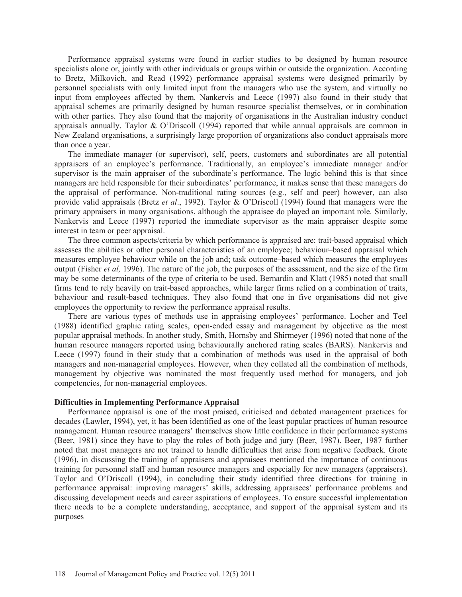Performance appraisal systems were found in earlier studies to be designed by human resource specialists alone or, jointly with other individuals or groups within or outside the organization. According to Bretz, Milkovich, and Read (1992) performance appraisal systems were designed primarily by personnel specialists with only limited input from the managers who use the system, and virtually no input from employees affected by them. Nankervis and Leece (1997) also found in their study that appraisal schemes are primarily designed by human resource specialist themselves, or in combination with other parties. They also found that the majority of organisations in the Australian industry conduct appraisals annually. Taylor & O'Driscoll (1994) reported that while annual appraisals are common in New Zealand organisations, a surprisingly large proportion of organizations also conduct appraisals more than once a year.

The immediate manager (or supervisor), self, peers, customers and subordinates are all potential appraisers of an employee's performance. Traditionally, an employee's immediate manager and/or supervisor is the main appraiser of the subordinate's performance. The logic behind this is that since managers are held responsible for their subordinates' performance, it makes sense that these managers do the appraisal of performance. Non-traditional rating sources (e.g., self and peer) however, can also provide valid appraisals (Bretz *et al*., 1992). Taylor & O'Driscoll (1994) found that managers were the primary appraisers in many organisations, although the appraisee do played an important role. Similarly, Nankervis and Leece (1997) reported the immediate supervisor as the main appraiser despite some interest in team or peer appraisal.

The three common aspects/criteria by which performance is appraised are: trait-based appraisal which assesses the abilities or other personal characteristics of an employee; behaviour–based appraisal which measures employee behaviour while on the job and; task outcome–based which measures the employees output (Fisher *et al,* 1996). The nature of the job, the purposes of the assessment, and the size of the firm may be some determinants of the type of criteria to be used. Bernardin and Klatt (1985) noted that small firms tend to rely heavily on trait-based approaches, while larger firms relied on a combination of traits, behaviour and result-based techniques. They also found that one in five organisations did not give employees the opportunity to review the performance appraisal results.

There are various types of methods use in appraising employees' performance. Locher and Teel (1988) identified graphic rating scales, open-ended essay and management by objective as the most popular appraisal methods. In another study, Smith, Hornsby and Shirmeyer (1996) noted that none of the human resource managers reported using behaviourally anchored rating scales (BARS). Nankervis and Leece (1997) found in their study that a combination of methods was used in the appraisal of both managers and non-managerial employees. However, when they collated all the combination of methods, management by objective was nominated the most frequently used method for managers, and job competencies, for non-managerial employees.

# **Difficulties in Implementing Performance Appraisal**

Performance appraisal is one of the most praised, criticised and debated management practices for decades (Lawler, 1994), yet, it has been identified as one of the least popular practices of human resource management. Human resource managers' themselves show little confidence in their performance systems (Beer, 1981) since they have to play the roles of both judge and jury (Beer, 1987). Beer, 1987 further noted that most managers are not trained to handle difficulties that arise from negative feedback. Grote (1996), in discussing the training of appraisers and appraisees mentioned the importance of continuous training for personnel staff and human resource managers and especially for new managers (appraisers). Taylor and O'Driscoll (1994), in concluding their study identified three directions for training in performance appraisal: improving managers' skills, addressing appraisees' performance problems and discussing development needs and career aspirations of employees. To ensure successful implementation there needs to be a complete understanding, acceptance, and support of the appraisal system and its purposes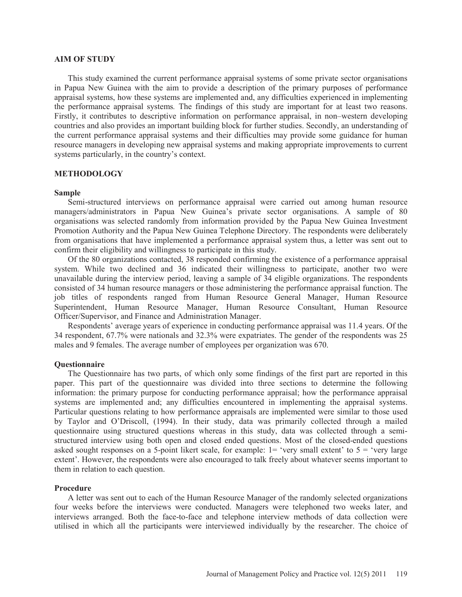### **AIM OF STUDY**

This study examined the current performance appraisal systems of some private sector organisations in Papua New Guinea with the aim to provide a description of the primary purposes of performance appraisal systems, how these systems are implemented and, any difficulties experienced in implementing the performance appraisal systems*.* The findings of this study are important for at least two reasons. Firstly, it contributes to descriptive information on performance appraisal, in non–western developing countries and also provides an important building block for further studies. Secondly, an understanding of the current performance appraisal systems and their difficulties may provide some guidance for human resource managers in developing new appraisal systems and making appropriate improvements to current systems particularly, in the country's context.

# **METHODOLOGY**

#### **Sample**

Semi-structured interviews on performance appraisal were carried out among human resource managers/administrators in Papua New Guinea's private sector organisations. A sample of 80 organisations was selected randomly from information provided by the Papua New Guinea Investment Promotion Authority and the Papua New Guinea Telephone Directory. The respondents were deliberately from organisations that have implemented a performance appraisal system thus, a letter was sent out to confirm their eligibility and willingness to participate in this study.

Of the 80 organizations contacted, 38 responded confirming the existence of a performance appraisal system. While two declined and 36 indicated their willingness to participate, another two were unavailable during the interview period, leaving a sample of 34 eligible organizations. The respondents consisted of 34 human resource managers or those administering the performance appraisal function. The job titles of respondents ranged from Human Resource General Manager, Human Resource Superintendent, Human Resource Manager, Human Resource Consultant, Human Resource Officer/Supervisor, and Finance and Administration Manager.

Respondents' average years of experience in conducting performance appraisal was 11.4 years. Of the 34 respondent, 67.7% were nationals and 32.3% were expatriates. The gender of the respondents was 25 males and 9 females. The average number of employees per organization was 670.

## **Questionnaire**

The Questionnaire has two parts, of which only some findings of the first part are reported in this paper. This part of the questionnaire was divided into three sections to determine the following information: the primary purpose for conducting performance appraisal; how the performance appraisal systems are implemented and; any difficulties encountered in implementing the appraisal systems. Particular questions relating to how performance appraisals are implemented were similar to those used by Taylor and O'Driscoll, (1994). In their study, data was primarily collected through a mailed questionnaire using structured questions whereas in this study, data was collected through a semistructured interview using both open and closed ended questions. Most of the closed-ended questions asked sought responses on a 5-point likert scale, for example:  $1 =$  'very small extent' to  $5 =$  'very large' extent'. However, the respondents were also encouraged to talk freely about whatever seems important to them in relation to each question.

### **Procedure**

A letter was sent out to each of the Human Resource Manager of the randomly selected organizations four weeks before the interviews were conducted. Managers were telephoned two weeks later, and interviews arranged. Both the face-to-face and telephone interview methods of data collection were utilised in which all the participants were interviewed individually by the researcher. The choice of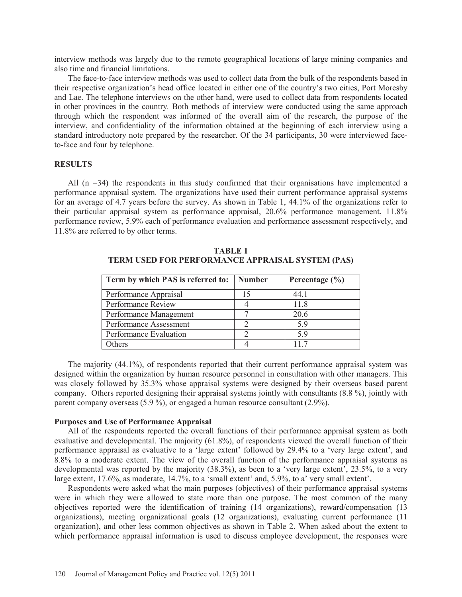interview methods was largely due to the remote geographical locations of large mining companies and also time and financial limitations.

The face-to-face interview methods was used to collect data from the bulk of the respondents based in their respective organization's head office located in either one of the country's two cities, Port Moresby and Lae. The telephone interviews on the other hand, were used to collect data from respondents located in other provinces in the country*.* Both methods of interview were conducted using the same approach through which the respondent was informed of the overall aim of the research, the purpose of the interview, and confidentiality of the information obtained at the beginning of each interview using a standard introductory note prepared by the researcher. Of the 34 participants, 30 were interviewed faceto-face and four by telephone.

## **RESULTS**

All (n =34) the respondents in this study confirmed that their organisations have implemented a performance appraisal system. The organizations have used their current performance appraisal systems for an average of 4.7 years before the survey. As shown in Table 1, 44.1% of the organizations refer to their particular appraisal system as performance appraisal, 20.6% performance management, 11.8% performance review, 5.9% each of performance evaluation and performance assessment respectively, and 11.8% are referred to by other terms.

| Term by which PAS is referred to: | <b>Number</b> | Percentage $(\% )$ |
|-----------------------------------|---------------|--------------------|
| Performance Appraisal             | 15            | 44.1               |
| Performance Review                |               | 11.8               |
| Performance Management            |               | 20.6               |
| Performance Assessment            |               | 59                 |
| Performance Evaluation            |               | 59                 |
| Others                            |               | 117                |

**TABLE 1 TERM USED FOR PERFORMANCE APPRAISAL SYSTEM (PAS)** 

The majority (44.1%), of respondents reported that their current performance appraisal system was designed within the organization by human resource personnel in consultation with other managers. This was closely followed by 35.3% whose appraisal systems were designed by their overseas based parent company. Others reported designing their appraisal systems jointly with consultants (8.8 %), jointly with parent company overseas (5.9 %), or engaged a human resource consultant (2.9%).

### **Purposes and Use of Performance Appraisal**

All of the respondents reported the overall functions of their performance appraisal system as both evaluative and developmental. The majority (61.8%), of respondents viewed the overall function of their performance appraisal as evaluative to a 'large extent' followed by 29.4% to a 'very large extent', and 8.8% to a moderate extent. The view of the overall function of the performance appraisal systems as developmental was reported by the majority (38.3%), as been to a 'very large extent', 23.5%, to a very large extent, 17.6%, as moderate, 14.7%, to a 'small extent' and, 5.9%, to a' very small extent'.

Respondents were asked what the main purposes (objectives) of their performance appraisal systems were in which they were allowed to state more than one purpose. The most common of the many objectives reported were the identification of training (14 organizations), reward/compensation (13 organizations), meeting organizational goals (12 organizations), evaluating current performance (11 organization), and other less common objectives as shown in Table 2. When asked about the extent to which performance appraisal information is used to discuss employee development, the responses were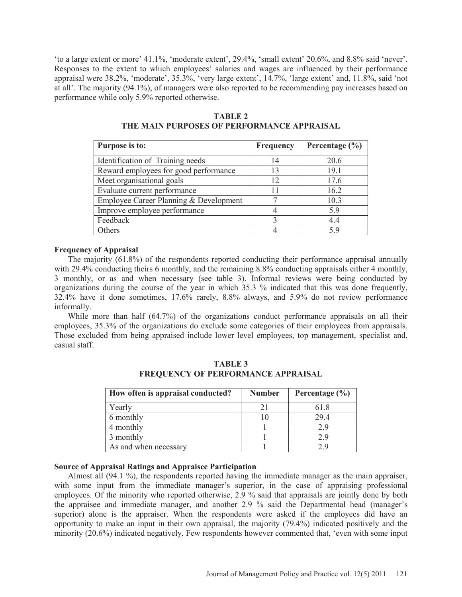'to a large extent or more' 41.1%, 'moderate extent', 29.4%, 'small extent' 20.6%, and 8.8% said 'never'. Responses to the extent to which employees' salaries and wages are influenced by their performance appraisal were 38.2%, 'moderate', 35.3%, 'very large extent', 14.7%, 'large extent' and, 11.8%, said 'not at all'. The majority (94.1%), of managers were also reported to be recommending pay increases based on performance while only 5.9% reported otherwise.

# **TABLE 2**

| Purpose is to:                         | Frequency | Percentage $(\% )$ |
|----------------------------------------|-----------|--------------------|
| Identification of Training needs       | 14        | 20.6               |
| Reward employees for good performance  | 13        | 19.1               |
| Meet organisational goals              | 12        | 17.6               |
| Evaluate current performance           |           | 16.2               |
| Employee Career Planning & Development |           | 10.3               |
| Improve employee performance           |           | 5.9                |
| Feedback                               |           | 44                 |
| Others                                 |           | 5 Q                |

# **THE MAIN PURPOSES OF PERFORMANCE APPRAISAL**

# **Frequency of Appraisal**

The majority (61.8%) of the respondents reported conducting their performance appraisal annually with 29.4% conducting theirs 6 monthly, and the remaining 8.8% conducting appraisals either 4 monthly, 3 monthly, or as and when necessary (see table 3). Informal reviews were being conducted by organizations during the course of the year in which 35.3 % indicated that this was done frequently, 32.4% have it done sometimes, 17.6% rarely, 8.8% always, and 5.9% do not review performance informally.

While more than half (64.7%) of the organizations conduct performance appraisals on all their employees, 35.3% of the organizations do exclude some categories of their employees from appraisals. Those excluded from being appraised include lower level employees, top management, specialist and, casual staff.

| How often is appraisal conducted? | <b>Number</b> | Percentage $(\% )$ |
|-----------------------------------|---------------|--------------------|
| Yearly                            |               | 61.8               |
| 6 monthly                         |               | 29.4               |
| 4 monthly                         |               | 29                 |
| 3 monthly                         |               | 29                 |
| As and when necessary             |               |                    |

**TABLE 3 FREQUENCY OF PERFORMANCE APPRAISAL** 

# **Source of Appraisal Ratings and Appraisee Participation**

Almost all (94.1 %), the respondents reported having the immediate manager as the main appraiser, with some input from the immediate manager's superior, in the case of appraising professional employees. Of the minority who reported otherwise, 2.9 % said that appraisals are jointly done by both the appraisee and immediate manager, and another 2.9 % said the Departmental head (manager's superior) alone is the appraiser. When the respondents were asked if the employees did have an opportunity to make an input in their own appraisal, the majority (79.4%) indicated positively and the minority (20.6%) indicated negatively. Few respondents however commented that, 'even with some input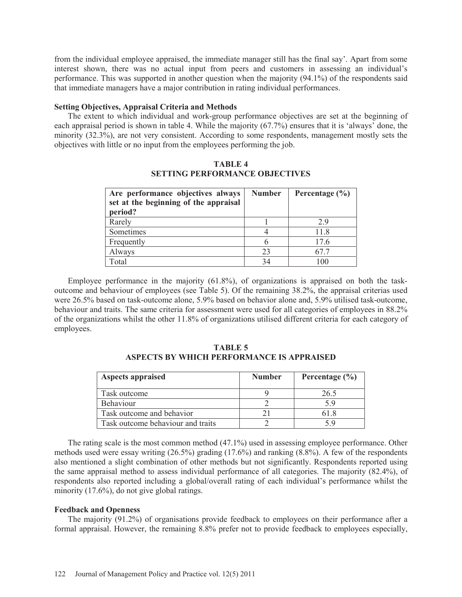from the individual employee appraised, the immediate manager still has the final say'. Apart from some interest shown, there was no actual input from peers and customers in assessing an individual's performance. This was supported in another question when the majority (94.1%) of the respondents said that immediate managers have a major contribution in rating individual performances.

# **Setting Objectives, Appraisal Criteria and Methods**

The extent to which individual and work-group performance objectives are set at the beginning of each appraisal period is shown in table 4. While the majority (67.7%) ensures that it is 'always' done, the minority (32.3%), are not very consistent. According to some respondents, management mostly sets the objectives with little or no input from the employees performing the job.

| Are performance objectives always<br>set at the beginning of the appraisal<br>period? | <b>Number</b> | Percentage $(\% )$ |
|---------------------------------------------------------------------------------------|---------------|--------------------|
| Rarely                                                                                |               | 29                 |
| Sometimes                                                                             |               | 11.8               |
| Frequently                                                                            |               | 17.6               |
| Always                                                                                | 23            | 67 7               |
| Total                                                                                 | 34            | 100                |

**TABLE 4 SETTING PERFORMANCE OBJECTIVES** 

Employee performance in the majority (61.8%), of organizations is appraised on both the taskoutcome and behaviour of employees (see Table 5). Of the remaining 38.2%, the appraisal criterias used were 26.5% based on task-outcome alone, 5.9% based on behavior alone and, 5.9% utilised task-outcome, behaviour and traits. The same criteria for assessment were used for all categories of employees in 88.2% of the organizations whilst the other 11.8% of organizations utilised different criteria for each category of employees.

**TABLE 5 ASPECTS BY WHICH PERFORMANCE IS APPRAISED** 

| <b>Aspects appraised</b>          | <b>Number</b> | Percentage $(\% )$ |
|-----------------------------------|---------------|--------------------|
| Task outcome                      |               | 26.5               |
| <b>Behaviour</b>                  |               |                    |
| Task outcome and behavior         |               |                    |
| Task outcome behaviour and traits |               |                    |

The rating scale is the most common method (47.1%) used in assessing employee performance. Other methods used were essay writing (26.5%) grading (17.6%) and ranking (8.8%). A few of the respondents also mentioned a slight combination of other methods but not significantly. Respondents reported using the same appraisal method to assess individual performance of all categories. The majority (82.4%), of respondents also reported including a global/overall rating of each individual's performance whilst the minority (17.6%), do not give global ratings.

## **Feedback and Openness**

The majority (91.2%) of organisations provide feedback to employees on their performance after a formal appraisal. However, the remaining 8.8% prefer not to provide feedback to employees especially,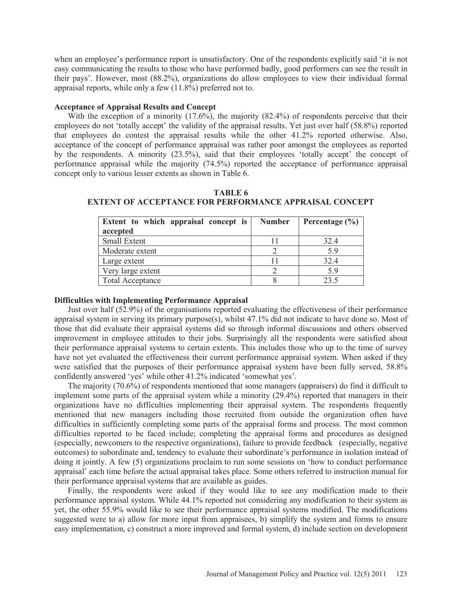when an employee's performance report is unsatisfactory. One of the respondents explicitly said 'it is not easy communicating the results to those who have performed badly, good performers can see the result in their pays'. However, most (88.2%), organizations do allow employees to view their individual formal appraisal reports, while only a few (11.8%) preferred not to.

### **Acceptance of Appraisal Results and Concept**

With the exception of a minority (17.6%), the majority (82.4%) of respondents perceive that their employees do not 'totally accept' the validity of the appraisal results. Yet just over half (58.8%) reported that employees do contest the appraisal results while the other 41.2% reported otherwise. Also, acceptance of the concept of performance appraisal was rather poor amongst the employees as reported by the respondents. A minority (23.5%), said that their employees 'totally accept' the concept of performance appraisal while the majority (74.5%) reported the acceptance of performance appraisal concept only to various lesser extents as shown in Table 6.

| Extent to which appraisal concept is<br>accepted | <b>Number</b> | Percentage $(\% )$ |
|--------------------------------------------------|---------------|--------------------|
| <b>Small Extent</b>                              |               | 32.4               |
| Moderate extent                                  |               | 5.9                |
| Large extent                                     |               | 32.4               |
| Very large extent                                |               | 5.9                |
| <b>Total Acceptance</b>                          |               | 23.5               |

**TABLE 6 EXTENT OF ACCEPTANCE FOR PERFORMANCE APPRAISAL CONCEPT** 

### **Difficulties with Implementing Performance Appraisal**

Just over half (52.9%) of the organisations reported evaluating the effectiveness of their performance appraisal system in serving its primary purpose(s), whilst 47.1% did not indicate to have done so. Most of those that did evaluate their appraisal systems did so through informal discussions and others observed improvement in employee attitudes to their jobs. Surprisingly all the respondents were satisfied about their performance appraisal systems to certain extents. This includes those who up to the time of survey have not yet evaluated the effectiveness their current performance appraisal system. When asked if they were satisfied that the purposes of their performance appraisal system have been fully served, 58.8% confidently answered 'yes' while other 41.2% indicated 'somewhat yes'.

The majority (70.6%) of respondents mentioned that some managers (appraisers) do find it difficult to implement some parts of the appraisal system while a minority (29.4%) reported that managers in their organizations have no difficulties implementing their appraisal system. The respondents frequently mentioned that new managers including those recruited from outside the organization often have difficulties in sufficiently completing some parts of the appraisal forms and process. The most common difficulties reported to be faced include; completing the appraisal forms and procedures as designed (especially, newcomers to the respective organizations), failure to provide feedback (especially, negative outcomes) to subordinate and, tendency to evaluate their subordinate's performance in isolation instead of doing it jointly. A few (5) organizations proclaim to run some sessions on 'how to conduct performance appraisal' each time before the actual appraisal takes place. Some others referred to instruction manual for their performance appraisal systems that are available as guides.

Finally, the respondents were asked if they would like to see any modification made to their performance appraisal system. While 44.1% reported not considering any modification to their system as yet, the other 55.9% would like to see their performance appraisal systems modified. The modifications suggested were to a) allow for more input from appraisees, b) simplify the system and forms to ensure easy implementation, c) construct a more improved and formal system, d) include section on development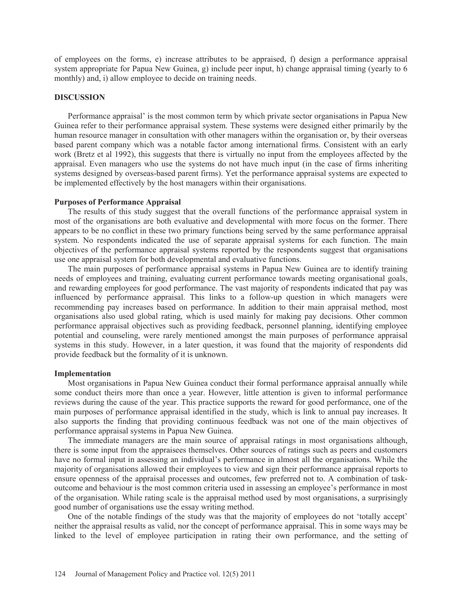of employees on the forms, e) increase attributes to be appraised, f) design a performance appraisal system appropriate for Papua New Guinea, g) include peer input, h) change appraisal timing (yearly to 6 monthly) and, i) allow employee to decide on training needs.

### **DISCUSSION**

Performance appraisal' is the most common term by which private sector organisations in Papua New Guinea refer to their performance appraisal system. These systems were designed either primarily by the human resource manager in consultation with other managers within the organisation or, by their overseas based parent company which was a notable factor among international firms. Consistent with an early work (Bretz et al 1992), this suggests that there is virtually no input from the employees affected by the appraisal. Even managers who use the systems do not have much input (in the case of firms inheriting systems designed by overseas-based parent firms). Yet the performance appraisal systems are expected to be implemented effectively by the host managers within their organisations.

### **Purposes of Performance Appraisal**

The results of this study suggest that the overall functions of the performance appraisal system in most of the organisations are both evaluative and developmental with more focus on the former. There appears to be no conflict in these two primary functions being served by the same performance appraisal system. No respondents indicated the use of separate appraisal systems for each function. The main objectives of the performance appraisal systems reported by the respondents suggest that organisations use one appraisal system for both developmental and evaluative functions.

The main purposes of performance appraisal systems in Papua New Guinea are to identify training needs of employees and training, evaluating current performance towards meeting organisational goals, and rewarding employees for good performance. The vast majority of respondents indicated that pay was influenced by performance appraisal. This links to a follow-up question in which managers were recommending pay increases based on performance. In addition to their main appraisal method, most organisations also used global rating, which is used mainly for making pay decisions. Other common performance appraisal objectives such as providing feedback, personnel planning, identifying employee potential and counseling, were rarely mentioned amongst the main purposes of performance appraisal systems in this study. However, in a later question, it was found that the majority of respondents did provide feedback but the formality of it is unknown.

### **Implementation**

Most organisations in Papua New Guinea conduct their formal performance appraisal annually while some conduct theirs more than once a year. However, little attention is given to informal performance reviews during the cause of the year. This practice supports the reward for good performance, one of the main purposes of performance appraisal identified in the study, which is link to annual pay increases. It also supports the finding that providing continuous feedback was not one of the main objectives of performance appraisal systems in Papua New Guinea.

The immediate managers are the main source of appraisal ratings in most organisations although, there is some input from the appraisees themselves. Other sources of ratings such as peers and customers have no formal input in assessing an individual's performance in almost all the organisations. While the majority of organisations allowed their employees to view and sign their performance appraisal reports to ensure openness of the appraisal processes and outcomes, few preferred not to. A combination of taskoutcome and behaviour is the most common criteria used in assessing an employee's performance in most of the organisation. While rating scale is the appraisal method used by most organisations, a surprisingly good number of organisations use the essay writing method.

One of the notable findings of the study was that the majority of employees do not 'totally accept' neither the appraisal results as valid, nor the concept of performance appraisal. This in some ways may be linked to the level of employee participation in rating their own performance, and the setting of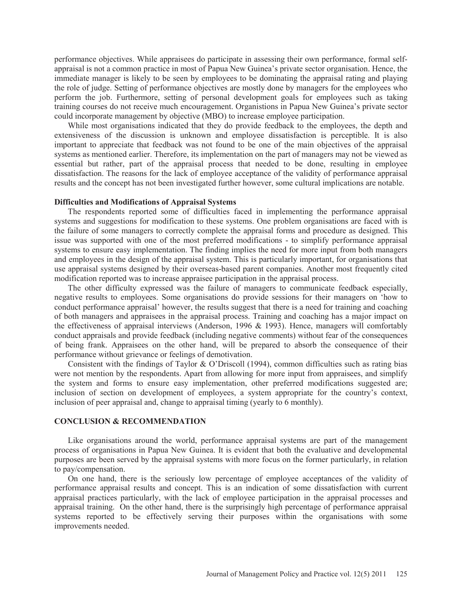performance objectives. While appraisees do participate in assessing their own performance, formal selfappraisal is not a common practice in most of Papua New Guinea's private sector organisation. Hence, the immediate manager is likely to be seen by employees to be dominating the appraisal rating and playing the role of judge. Setting of performance objectives are mostly done by managers for the employees who perform the job. Furthermore, setting of personal development goals for employees such as taking training courses do not receive much encouragement. Organistions in Papua New Guinea's private sector could incorporate management by objective (MBO) to increase employee participation.

While most organisations indicated that they do provide feedback to the employees, the depth and extensiveness of the discussion is unknown and employee dissatisfaction is perceptible. It is also important to appreciate that feedback was not found to be one of the main objectives of the appraisal systems as mentioned earlier. Therefore, its implementation on the part of managers may not be viewed as essential but rather, part of the appraisal process that needed to be done, resulting in employee dissatisfaction. The reasons for the lack of employee acceptance of the validity of performance appraisal results and the concept has not been investigated further however, some cultural implications are notable.

### **Difficulties and Modifications of Appraisal Systems**

The respondents reported some of difficulties faced in implementing the performance appraisal systems and suggestions for modification to these systems. One problem organisations are faced with is the failure of some managers to correctly complete the appraisal forms and procedure as designed. This issue was supported with one of the most preferred modifications - to simplify performance appraisal systems to ensure easy implementation. The finding implies the need for more input from both managers and employees in the design of the appraisal system. This is particularly important, for organisations that use appraisal systems designed by their overseas-based parent companies. Another most frequently cited modification reported was to increase appraisee participation in the appraisal process.

The other difficulty expressed was the failure of managers to communicate feedback especially, negative results to employees. Some organisations do provide sessions for their managers on 'how to conduct performance appraisal' however, the results suggest that there is a need for training and coaching of both managers and appraisees in the appraisal process. Training and coaching has a major impact on the effectiveness of appraisal interviews (Anderson, 1996 & 1993). Hence, managers will comfortably conduct appraisals and provide feedback (including negative comments) without fear of the consequences of being frank. Appraisees on the other hand, will be prepared to absorb the consequence of their performance without grievance or feelings of demotivation.

Consistent with the findings of Taylor & O'Driscoll (1994), common difficulties such as rating bias were not mention by the respondents. Apart from allowing for more input from appraisees, and simplify the system and forms to ensure easy implementation, other preferred modifications suggested are; inclusion of section on development of employees, a system appropriate for the country's context, inclusion of peer appraisal and, change to appraisal timing (yearly to 6 monthly).

## **CONCLUSION & RECOMMENDATION**

Like organisations around the world, performance appraisal systems are part of the management process of organisations in Papua New Guinea. It is evident that both the evaluative and developmental purposes are been served by the appraisal systems with more focus on the former particularly, in relation to pay/compensation.

On one hand, there is the seriously low percentage of employee acceptances of the validity of performance appraisal results and concept. This is an indication of some dissatisfaction with current appraisal practices particularly, with the lack of employee participation in the appraisal processes and appraisal training. On the other hand, there is the surprisingly high percentage of performance appraisal systems reported to be effectively serving their purposes within the organisations with some improvements needed.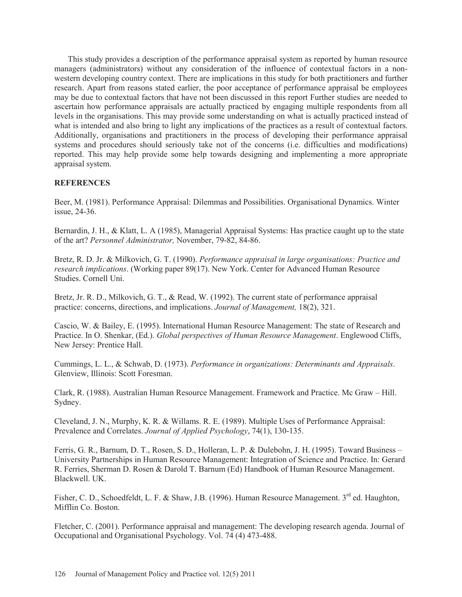This study provides a description of the performance appraisal system as reported by human resource managers (administrators) without any consideration of the influence of contextual factors in a nonwestern developing country context. There are implications in this study for both practitioners and further research. Apart from reasons stated earlier, the poor acceptance of performance appraisal be employees may be due to contextual factors that have not been discussed in this report Further studies are needed to ascertain how performance appraisals are actually practiced by engaging multiple respondents from all levels in the organisations. This may provide some understanding on what is actually practiced instead of what is intended and also bring to light any implications of the practices as a result of contextual factors. Additionally, organisations and practitioners in the process of developing their performance appraisal systems and procedures should seriously take not of the concerns (i.e. difficulties and modifications) reported. This may help provide some help towards designing and implementing a more appropriate appraisal system.

# **REFERENCES**

Beer, M. (1981). Performance Appraisal: Dilemmas and Possibilities. Organisational Dynamics. Winter issue, 24-36.

Bernardin, J. H., & Klatt, L. A (1985), Managerial Appraisal Systems: Has practice caught up to the state of the art? *Personnel Administrator,* November, 79-82, 84-86.

Bretz, R. D. Jr. & Milkovich, G. T. (1990). *Performance appraisal in large organisations: Practice and research implications*. (Working paper 89(17). New York. Center for Advanced Human Resource Studies. Cornell Uni.

Bretz, Jr. R. D., Milkovich, G. T., & Read, W. (1992). The current state of performance appraisal practice: concerns, directions, and implications. *Journal of Management,* 18(2), 321.

Cascio, W. & Bailey, E. (1995). International Human Resource Management: The state of Research and Practice. In O. Shenkar, (Ed.). *Global perspectives of Human Resource Management*. Englewood Cliffs, New Jersey: Prentice Hall.

Cummings, L. L., & Schwab, D. (1973). *Performance in organizations: Determinants and Appraisals*. Glenview, Illinois: Scott Foresman.

Clark, R. (1988). Australian Human Resource Management. Framework and Practice. Mc Graw – Hill. Sydney.

Cleveland, J. N., Murphy, K. R. & Willams. R. E. (1989). Multiple Uses of Performance Appraisal: Prevalence and Correlates. *Journal of Applied Psychology*, 74(1), 130-135.

Ferris, G. R., Barnum, D. T., Rosen, S. D., Holleran, L. P. & Dulebohn, J. H. (1995). Toward Business – University Partnerships in Human Resource Management: Integration of Science and Practice. In: Gerard R. Ferries, Sherman D. Rosen & Darold T. Barnum (Ed) Handbook of Human Resource Management. Blackwell. UK.

Fisher, C. D., Schoedfeldt, L. F. & Shaw, J.B. (1996). Human Resource Management. 3<sup>rd</sup> ed. Haughton, Mifflin Co. Boston.

Fletcher, C. (2001). Performance appraisal and management: The developing research agenda. Journal of Occupational and Organisational Psychology. Vol. 74 (4) 473-488.